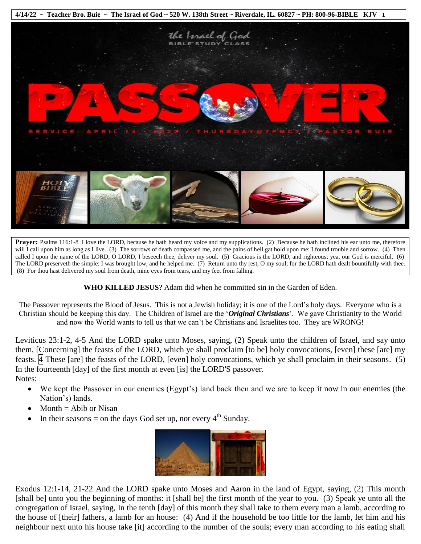

**Prayer:** Psalms 116:1-8 I love the LORD, because he hath heard my voice and my supplications. (2) Because he hath inclined his ear unto me, therefore will I call upon him as long as I live. (3) The sorrows of death compassed me, and the pains of hell gat hold upon me: I found trouble and sorrow. (4) Then called I upon the name of the LORD; O LORD, I beseech thee, deliver my soul. (5) Gracious is the LORD, and righteous; yea, our God is merciful. (6) The LORD preserveth the simple: I was brought low, and he helped me. (7) Return unto thy rest, O my soul; for the LORD hath dealt bountifully with thee. (8) For thou hast delivered my soul from death, mine eyes from tears, and my feet from falling.

**WHO KILLED JESUS**? Adam did when he committed sin in the Garden of Eden.

The Passover represents the Blood of Jesus. This is not a Jewish holiday; it is one of the Lord's holy days. Everyone who is a Christian should be keeping this day. The Children of Israel are the '*Original Christians*'. We gave Christianity to the World and now the World wants to tell us that we can't be Christians and Israelites too. They are WRONG!

Leviticus 23:1-2, 4-5 And the LORD spake unto Moses, saying, (2) Speak unto the children of Israel, and say unto them, [Concerning] the feasts of the LORD, which ye shall proclaim [to be] holy convocations, [even] these [are] my feasts.  $\overline{A}$  These [are] the feasts of the LORD, [even] holy convocations, which ye shall proclaim in their seasons. (5) In the fourteenth [day] of the first month at even [is] the LORD'S passover. Notes:

- We kept the Passover in our enemies (Egypt's) land back then and we are to keep it now in our enemies (the Nation's) lands.
- $Month = Abib$  or Nisan
- In their seasons = on the days God set up, not every  $4<sup>th</sup>$  Sunday.



Exodus 12:1-14, 21-22 And the LORD spake unto Moses and Aaron in the land of Egypt, saying, (2) This month [shall be] unto you the beginning of months: it [shall be] the first month of the year to you. (3) Speak ye unto all the congregation of Israel, saying, In the tenth [day] of this month they shall take to them every man a lamb, according to the house of [their] fathers, a lamb for an house: (4) And if the household be too little for the lamb, let him and his neighbour next unto his house take [it] according to the number of the souls; every man according to his eating shall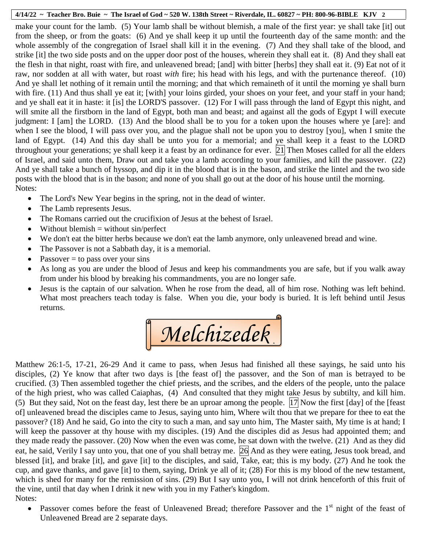make your count for the lamb. (5) Your lamb shall be without blemish, a male of the first year: ye shall take [it] out from the sheep, or from the goats: (6) And ye shall keep it up until the fourteenth day of the same month: and the whole assembly of the congregation of Israel shall kill it in the evening. (7) And they shall take of the blood, and strike [it] the two side posts and on the upper door post of the houses, wherein they shall eat it. (8) And they shall eat the flesh in that night, roast with fire, and unleavened bread; [and] with bitter [herbs] they shall eat it. (9) Eat not of it raw, nor sodden at all with water, but roast *with* fire; his head with his legs, and with the purtenance thereof. (10) And ye shall let nothing of it remain until the morning; and that which remaineth of it until the morning ye shall burn with fire. (11) And thus shall ye eat it; [with] your loins girded, your shoes on your feet, and your staff in your hand; and ye shall eat it in haste: it [is] the LORD'S passover. (12) For I will pass through the land of Egypt this night, and will smite all the firstborn in the land of Egypt, both man and beast; and against all the gods of Egypt I will execute judgment: I [am] the LORD. (13) And the blood shall be to you for a token upon the houses where ye [are]: and when I see the blood, I will pass over you, and the plague shall not be upon you to destroy [you], when I smite the land of Egypt. (14) And this day shall be unto you for a memorial; and ye shall keep it a feast to the LORD throughout your generations; ye shall keep it a feast by an ordinance for ever.  $\boxed{21}$  Then Moses called for all the elders of Israel, and said unto them, Draw out and take you a lamb according to your families, and kill the passover. (22) And ye shall take a bunch of hyssop, and dip it in the blood that is in the bason, and strike the lintel and the two side posts with the blood that is in the bason; and none of you shall go out at the door of his house until the morning. Notes:

- The Lord's New Year begins in the spring, not in the dead of winter.
- The Lamb represents Jesus.
- The Romans carried out the crucifixion of Jesus at the behest of Israel.
- $\bullet$  Without blemish = without sin/perfect
- We don't eat the bitter herbs because we don't eat the lamb anymore, only unleavened bread and wine.
- The Passover is not a Sabbath day, it is a memorial.
- Passover  $=$  to pass over your sins
- As long as you are under the blood of Jesus and keep his commandments you are safe, but if you walk away from under his blood by breaking his commandments, you are no longer safe.
- Jesus is the captain of our salvation. When he rose from the dead, all of him rose. Nothing was left behind. What most preachers teach today is false. When you die, your body is buried. It is left behind until Jesus returns.

*Melchizedek*

Matthew 26:1-5, 17-21, 26-29 And it came to pass, when Jesus had finished all these sayings, he said unto his disciples, (2) Ye know that after two days is [the feast of] the passover, and the Son of man is betrayed to be crucified. (3) Then assembled together the chief priests, and the scribes, and the elders of the people, unto the palace of the high priest, who was called Caiaphas, (4) And consulted that they might take Jesus by subtilty, and kill him. (5) But they said, Not on the feast day, lest there be an uproar among the people.  $\boxed{17}$  Now the first  $\boxed{day}$  of the  $\boxed{feas}$ of] unleavened bread the disciples came to Jesus, saying unto him, Where wilt thou that we prepare for thee to eat the passover? (18) And he said, Go into the city to such a man, and say unto him, The Master saith, My time is at hand; I will keep the passover at thy house with my disciples. (19) And the disciples did as Jesus had appointed them; and they made ready the passover. (20) Now when the even was come, he sat down with the twelve. (21) And as they did eat, he said, Verily I say unto you, that one of you shall betray me. 26 And as they were eating, Jesus took bread, and blessed [it], and brake [it], and gave [it] to the disciples, and said, Take, eat; this is my body. (27) And he took the cup, and gave thanks, and gave [it] to them, saying, Drink ye all of it; (28) For this is my blood of the new testament, which is shed for many for the remission of sins. (29) But I say unto you, I will not drink henceforth of this fruit of the vine, until that day when I drink it new with you in my Father's kingdom. Notes: en<br>of

• Passover comes before the feast of Unleavened Bread; therefore Passover and the  $1<sup>st</sup>$  night of the feast of Unleavened Bread are 2 separate days.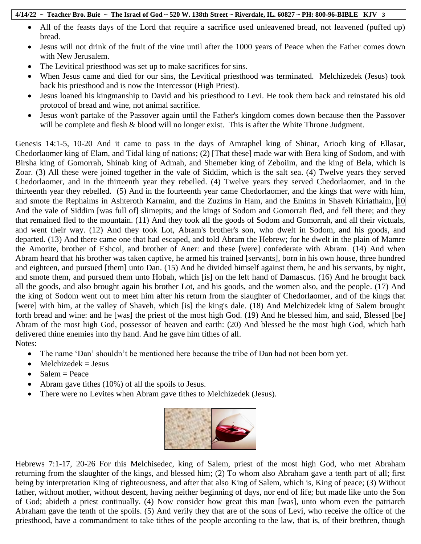- All of the feasts days of the Lord that require a sacrifice used unleavened bread, not leavened (puffed up) bread.
- Jesus will not drink of the fruit of the vine until after the 1000 years of Peace when the Father comes down with New Jerusalem.
- The Levitical priesthood was set up to make sacrifices for sins.
- When Jesus came and died for our sins, the Levitical priesthood was terminated. Melchizedek (Jesus) took back his priesthood and is now the Intercessor (High Priest).
- Jesus loaned his kingmanship to David and his priesthood to Levi. He took them back and reinstated his old protocol of bread and wine, not animal sacrifice.
- Jesus won't partake of the Passover again until the Father's kingdom comes down because then the Passover will be complete and flesh & blood will no longer exist. This is after the White Throne Judgment.

Genesis 14:1-5, 10-20 And it came to pass in the days of Amraphel king of Shinar, Arioch king of Ellasar, Chedorlaomer king of Elam, and Tidal king of nations; (2) [That these] made war with Bera king of Sodom, and with Birsha king of Gomorrah, Shinab king of Admah, and Shemeber king of Zeboiim, and the king of Bela, which is Zoar. (3) All these were joined together in the vale of Siddim, which is the salt sea. (4) Twelve years they served Chedorlaomer, and in the thirteenth year they rebelled. (4) Twelve years they served Chedorlaomer, and in the thirteenth year they rebelled. (5) And in the fourteenth year came Chedorlaomer, and the kings that *were* with him, and smote the Rephaims in Ashteroth Karnaim, and the Zuzims in Ham, and the Emims in Shaveh Kiriathaim, 10 And the vale of Siddim [was full of] slimepits; and the kings of Sodom and Gomorrah fled, and fell there; and they that remained fled to the mountain. (11) And they took all the goods of Sodom and Gomorrah, and all their victuals, and went their way. (12) And they took Lot, Abram's brother's son, who dwelt in Sodom, and his goods, and departed. (13) And there came one that had escaped, and told Abram the Hebrew; for he dwelt in the plain of Mamre the Amorite, brother of Eshcol, and brother of Aner: and these [were] confederate with Abram. (14) And when Abram heard that his brother was taken captive, he armed his trained [servants], born in his own house, three hundred and eighteen, and pursued [them] unto Dan. (15) And he divided himself against them, he and his servants, by night, and smote them, and pursued them unto Hobah, which [is] on the left hand of Damascus. (16) And he brought back all the goods, and also brought again his brother Lot, and his goods, and the women also, and the people. (17) And the king of Sodom went out to meet him after his return from the slaughter of Chedorlaomer, and of the kings that [were] with him, at the valley of Shaveh, which [is] the king's dale. (18) And Melchizedek king of Salem brought forth bread and wine: and he [was] the priest of the most high God. (19) And he blessed him, and said, Blessed [be] Abram of the most high God, possessor of heaven and earth: (20) And blessed be the most high God, which hath delivered thine enemies into thy hand. And he gave him tithes of all. Notes:

- The name 'Dan' shouldn't be mentioned here because the tribe of Dan had not been born yet.
- $\bullet$  Melchizedek = Jesus
- $\bullet$  Salem = Peace
- Abram gave tithes (10%) of all the spoils to Jesus.
- There were no Levites when Abram gave tithes to Melchizedek (Jesus).



Hebrews 7:1-17, 20-26 For this Melchisedec, king of Salem, priest of the most high God, who met Abraham returning from the slaughter of the kings, and blessed him; (2) To whom also Abraham gave a tenth part of all; first being by interpretation King of righteousness, and after that also King of Salem, which is, King of peace; (3) Without father, without mother, without descent, having neither beginning of days, nor end of life; but made like unto the Son of God; abideth a priest continually. (4) Now consider how great this man [was], unto whom even the patriarch Abraham gave the tenth of the spoils. (5) And verily they that are of the sons of Levi, who receive the office of the priesthood, have a commandment to take tithes of the people according to the law, that is, of their brethren, though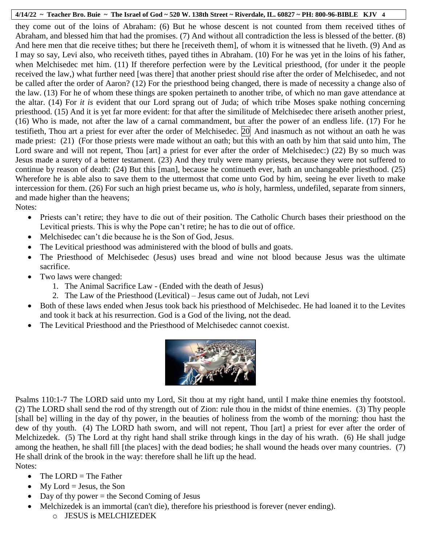they come out of the loins of Abraham: (6) But he whose descent is not counted from them received tithes of Abraham, and blessed him that had the promises. (7) And without all contradiction the less is blessed of the better. (8) And here men that die receive tithes; but there he [receiveth them], of whom it is witnessed that he liveth. (9) And as I may so say, Levi also, who receiveth tithes, payed tithes in Abraham. (10) For he was yet in the loins of his father, when Melchisedec met him. (11) If therefore perfection were by the Levitical priesthood, (for under it the people received the law,) what further need [was there] that another priest should rise after the order of Melchisedec, and not be called after the order of Aaron? (12) For the priesthood being changed, there is made of necessity a change also of the law. (13) For he of whom these things are spoken pertaineth to another tribe, of which no man gave attendance at the altar. (14) For *it is* evident that our Lord sprang out of Juda; of which tribe Moses spake nothing concerning priesthood. (15) And it is yet far more evident: for that after the similitude of Melchisedec there ariseth another priest, (16) Who is made, not after the law of a carnal commandment, but after the power of an endless life. (17) For he testifieth, Thou art a priest for ever after the order of Melchisedec.  $\overline{20}$  And inasmuch as not without an oath he was made priest: (21) (For those priests were made without an oath; but this with an oath by him that said unto him, The Lord sware and will not repent, Thou [art] a priest for ever after the order of Melchisedec:) (22) By so much was Jesus made a surety of a better testament. (23) And they truly were many priests, because they were not suffered to continue by reason of death: (24) But this [man], because he continueth ever, hath an unchangeable priesthood. (25) Wherefore he is able also to save them to the uttermost that come unto God by him, seeing he ever liveth to make intercession for them. (26) For such an high priest became us, *who is* holy, harmless, undefiled, separate from sinners, and made higher than the heavens; Notes:

- Priests can't retire; they have to die out of their position. The Catholic Church bases their priesthood on the Levitical priests. This is why the Pope can't retire; he has to die out of office.
- Melchisedec can't die because he is the Son of God, Jesus.
- The Levitical priesthood was administered with the blood of bulls and goats.
- The Priesthood of Melchisedec (Jesus) uses bread and wine not blood because Jesus was the ultimate sacrifice.
- Two laws were changed:
	- 1. The Animal Sacrifice Law (Ended with the death of Jesus)
	- 2. The Law of the Priesthood (Levitical) Jesus came out of Judah, not Levi
- Both of these laws ended when Jesus took back his priesthood of Melchisedec. He had loaned it to the Levites and took it back at his resurrection. God is a God of the living, not the dead.
- The Levitical Priesthood and the Priesthood of Melchisedec cannot coexist.



Psalms 110:1-7 The LORD said unto my Lord, Sit thou at my right hand, until I make thine enemies thy footstool. (2) The LORD shall send the rod of thy strength out of Zion: rule thou in the midst of thine enemies. (3) Thy people [shall be] willing in the day of thy power, in the beauties of holiness from the womb of the morning: thou hast the dew of thy youth. (4) The LORD hath sworn, and will not repent, Thou [art] a priest for ever after the order of Melchizedek. (5) The Lord at thy right hand shall strike through kings in the day of his wrath. (6) He shall judge among the heathen, he shall fill [the places] with the dead bodies; he shall wound the heads over many countries. (7) He shall drink of the brook in the way: therefore shall he lift up the head. Notes:

- $\bullet$  The LORD = The Father
- $\bullet$  My Lord = Jesus, the Son
- $\bullet$  Day of thy power = the Second Coming of Jesus
- Melchizedek is an immortal (can't die), therefore his priesthood is forever (never ending).
	- o JESUS is MELCHIZEDEK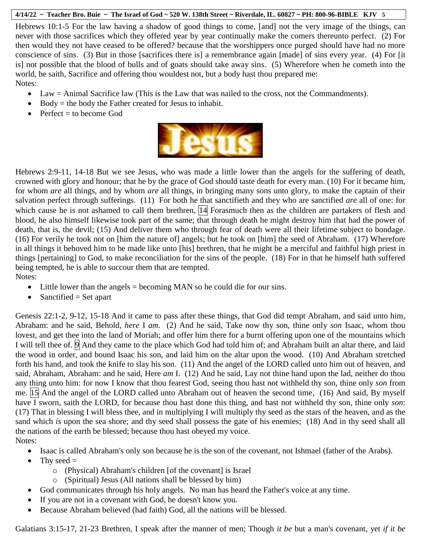Hebrews 10:1-5 For the law having a shadow of good things to come, [and] not the very image of the things, can never with those sacrifices which they offered year by year continually make the comers thereunto perfect. (2) For then would they not have ceased to be offered? because that the worshippers once purged should have had no more conscience of sins. (3) But in those [sacrifices there is] a remembrance again [made] of sins every year. (4) For [it is] not possible that the blood of bulls and of goats should take away sins. (5) Wherefore when he cometh into the world, he saith, Sacrifice and offering thou wouldest not, but a body hast thou prepared me: Notes:

- Law = Animal Sacrifice law (This is the Law that was nailed to the cross, not the Commandments).
- $\bullet$  Body = the body the Father created for Jesus to inhabit.
- $\bullet$  Perfect = to become God



Hebrews 2:9-11, 14-18 But we see Jesus, who was made a little lower than the angels for the suffering of death, crowned with glory and honour; that he by the grace of God should taste death for every man. (10) For it became him, for whom *are* all things, and by whom *are* all things, in bringing many sons unto glory, to make the captain of their salvation perfect through sufferings. (11) For both he that sanctifieth and they who are sanctified *are* all of one: for which cause he is not ashamed to call them brethren, |14| Forasmuch then as the children are partakers of flesh and blood, he also himself likewise took part of the same; that through death he might destroy him that had the power of death, that is, the devil; (15) And deliver them who through fear of death were all their lifetime subject to bondage. (16) For verily he took not on [him the nature of] angels; but he took on [him] the seed of Abraham. (17) Wherefore in all things it behoved him to be made like unto [his] brethren, that he might be a merciful and faithful high priest in things [pertaining] to God, to make reconciliation for the sins of the people. (18) For in that he himself hath suffered being tempted, he is able to succour them that are tempted. Notes:

- Little lower than the angels = becoming MAN so he could die for our sins.
- $\bullet$  Sanctified = Set apart

Genesis 22:1-2, 9-12, 15-18 And it came to pass after these things, that God did tempt Abraham, and said unto him, Abraham: and he said, Behold, *here* I *am*. (2) And he said, Take now thy son, thine only *son* Isaac, whom thou lovest, and get thee into the land of Moriah; and offer him there for a burnt offering upon one of the mountains which I will tell thee of. **9** And they came to the place which God had told him of; and Abraham built an altar there, and laid the wood in order, and bound Isaac his son, and laid him on the altar upon the wood. (10) And Abraham stretched forth his hand, and took the knife to slay his son. (11) And the angel of the LORD called unto him out of heaven, and said, Abraham, Abraham: and he said, Here *am* I. (12) And he said, Lay not thine hand upon the lad, neither do thou any thing unto him: for now I know that thou fearest God, seeing thou hast not withheld thy son, thine only *son* from me. 15 And the angel of the LORD called unto Abraham out of heaven the second time, (16) And said, By myself have I sworn, saith the LORD, for because thou hast done this thing, and hast not withheld thy son, thine only *son*: (17) That in blessing I will bless thee, and in multiplying I will multiply thy seed as the stars of the heaven, and as the sand which *is* upon the sea shore; and thy seed shall possess the gate of his enemies; (18) And in thy seed shall all the nations of the earth be blessed; because thou hast obeyed my voice. Notes:

- 
- Isaac is called Abraham's only son because he is the son of the covenant, not Ishmael (father of the Arabs).
- $\bullet$  Thy seed =
	- o (Physical) Abraham's children [of the covenant] is Israel
	- o (Spiritual) Jesus (All nations shall be blessed by him)
- God communicates through his holy angels. No man has heard the Father's voice at any time.
- If you are not in a covenant with God, he doesn't know you.
- Because Abraham believed (had faith) God, all the nations will be blessed.

Galatians 3:15-17, 21-23 Brethren, I speak after the manner of men; Though *it be* but a man's covenant, yet *if it be*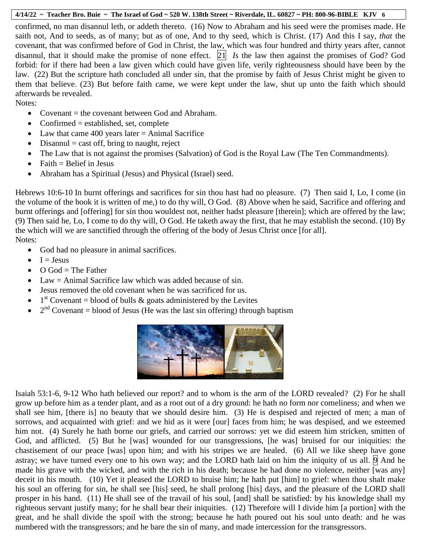confirmed, no man disannul leth, or addeth thereto. (16) Now to Abraham and his seed were the promises made. He saith not, And to seeds, as of many; but as of one, And to thy seed, which is Christ. (17) And this I say, *that* the covenant, that was confirmed before of God in Christ, the law, which was four hundred and thirty years after, cannot disannul, that it should make the promise of none effect. 21 *Is* the law then against the promises of God? God forbid: for if there had been a law given which could have given life, verily righteousness should have been by the law. (22) But the scripture hath concluded all under sin, that the promise by faith of Jesus Christ might be given to them that believe. (23) But before faith came, we were kept under the law, shut up unto the faith which should afterwards be revealed.

Notes:

- Covenant = the covenant between God and Abraham.
- Confirmed  $=$  established, set, complete
- Law that came 400 years later  $=$  Animal Sacrifice
- $\bullet$  Disannul = cast off, bring to naught, reject
- The Law that is not against the promises (Salvation) of God is the Royal Law (The Ten Commandments).
- $\bullet$  Faith = Belief in Jesus
- Abraham has a Spiritual (Jesus) and Physical (Israel) seed.

Hebrews 10:6-10 In burnt offerings and sacrifices for sin thou hast had no pleasure. (7) Then said I, Lo, I come (in the volume of the book it is written of me,) to do thy will, O God. (8) Above when he said, Sacrifice and offering and burnt offerings and [offering] for sin thou wouldest not, neither hadst pleasure [therein]; which are offered by the law; (9) Then said he, Lo, I come to do thy will, O God. He taketh away the first, that he may establish the second. (10) By the which will we are sanctified through the offering of the body of Jesus Christ once [for all]. Notes:

- God had no pleasure in animal sacrifices.
- $I = Jesus$
- $\bullet$  O God = The Father
- $\bullet$  Law = Animal Sacrifice law which was added because of sin.
- Jesus removed the old covenant when he was sacrificed for us.
- $\bullet$  1<sup>st</sup> Covenant = blood of bulls & goats administered by the Levites
- $2<sup>nd</sup> Covenant = blood of Jesus (He was the last sin offering) through baptism$



Isaiah 53:1-6, 9-12 Who hath believed our report? and to whom is the arm of the LORD revealed? (2) For he shall grow up before him as a tender plant, and as a root out of a dry ground: he hath no form nor comeliness; and when we shall see him, [there is] no beauty that we should desire him. (3) He is despised and rejected of men; a man of sorrows, and acquainted with grief: and we hid as it were [our] faces from him; he was despised, and we esteemed him not. (4) Surely he hath borne our griefs, and carried our sorrows: yet we did esteem him stricken, smitten of God, and afflicted. (5) But he [was] wounded for our transgressions, [he was] bruised for our iniquities: the chastisement of our peace [was] upon him; and with his stripes we are healed. (6) All we like sheep have gone astray; we have turned every one to his own way; and the LORD hath laid on him the iniquity of us all.  $\Theta$  And he made his grave with the wicked, and with the rich in his death; because he had done no violence, neither [was any] deceit in his mouth. (10) Yet it pleased the LORD to bruise him; he hath put [him] to grief: when thou shalt make his soul an offering for sin, he shall see [his] seed, he shall prolong [his] days, and the pleasure of the LORD shall prosper in his hand. (11) He shall see of the travail of his soul, [and] shall be satisfied: by his knowledge shall my righteous servant justify many; for he shall bear their iniquities. (12) Therefore will I divide him [a portion] with the great, and he shall divide the spoil with the strong; because he hath poured out his soul unto death: and he was numbered with the transgressors; and he bare the sin of many, and made intercession for the transgressors.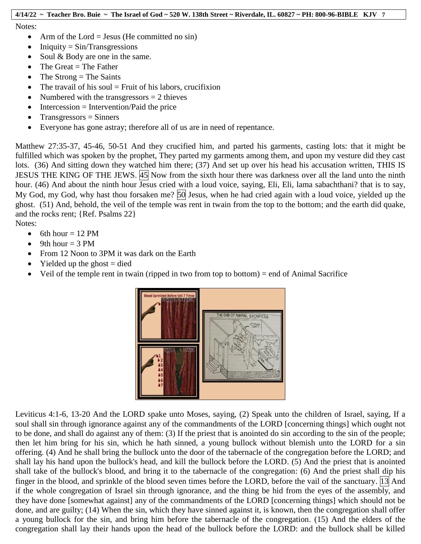Notes:

- Arm of the Lord = Jesus (He committed no sin)
- $\bullet$  Iniquity = Sin/Transgressions
- Soul & Body are one in the same.
- $\bullet$  The Great = The Father
- $\bullet$  The Strong = The Saints
- $\bullet$  The travail of his soul = Fruit of his labors, crucifixion
- Numbered with the transgressors  $= 2$  thieves
- $\bullet$  Intercession = Intervention/Paid the price
- $\bullet$  Transgressors = Sinners
- Everyone has gone astray; therefore all of us are in need of repentance.

Matthew 27:35-37, 45-46, 50-51 And they crucified him, and parted his garments, casting lots: that it might be fulfilled which was spoken by the prophet, They parted my garments among them, and upon my vesture did they cast lots. (36) And sitting down they watched him there; (37) And set up over his head his accusation written, THIS IS JESUS THE KING OF THE JEWS. 45 Now from the sixth hour there was darkness over all the land unto the ninth hour. (46) And about the ninth hour Jesus cried with a loud voice, saying, Eli, Eli, lama sabachthani? that is to say, My God, my God, why hast thou forsaken me? 50 Jesus, when he had cried again with a loud voice, yielded up the ghost.  $(51)$  And, behold, the veil of the temple was rent in twain from the top to the bottom; and the earth did quake, and the rocks rent; {Ref. Psalms 22}

Notes:

- $\bullet$  6th hour = 12 PM
- $\bullet$  9th hour = 3 PM
- From 12 Noon to 3PM it was dark on the Earth
- Yielded up the ghost  $=$  died
- $\bullet$  Veil of the temple rent in twain (ripped in two from top to bottom) = end of Animal Sacrifice



Leviticus 4:1-6, 13-20 And the LORD spake unto Moses, saying, (2) Speak unto the children of Israel, saying, If a soul shall sin through ignorance against any of the commandments of the LORD [concerning things] which ought not to be done, and shall do against any of them: (3) If the priest that is anointed do sin according to the sin of the people; then let him bring for his sin, which he hath sinned, a young bullock without blemish unto the LORD for a sin offering. (4) And he shall bring the bullock unto the door of the tabernacle of the congregation before the LORD; and shall lay his hand upon the bullock's head, and kill the bullock before the LORD. (5) And the priest that is anointed shall take of the bullock's blood, and bring it to the tabernacle of the congregation: (6) And the priest shall dip his finger in the blood, and sprinkle of the blood seven times before the LORD, before the vail of the sanctuary. 13 And if the whole congregation of Israel sin through ignorance, and the thing be hid from the eyes of the assembly, and they have done [somewhat against] any of the commandments of the LORD [concerning things] which should not be done, and are guilty; (14) When the sin, which they have sinned against it, is known, then the congregation shall offer a young bullock for the sin, and bring him before the tabernacle of the congregation. (15) And the elders of the congregation shall lay their hands upon the head of the bullock before the LORD: and the bullock shall be killed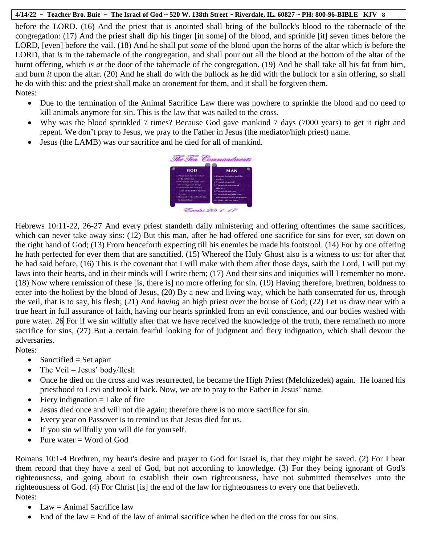before the LORD. (16) And the priest that is anointed shall bring of the bullock's blood to the tabernacle of the congregation: (17) And the priest shall dip his finger [in some] of the blood, and sprinkle [it] seven times before the LORD, [even] before the vail. (18) And he shall put *some* of the blood upon the horns of the altar which *is* before the LORD, that *is* in the tabernacle of the congregation, and shall pour out all the blood at the bottom of the altar of the burnt offering, which *is at* the door of the tabernacle of the congregation. (19) And he shall take all his fat from him, and burn *it* upon the altar. (20) And he shall do with the bullock as he did with the bullock for a sin offering, so shall he do with this: and the priest shall make an atonement for them, and it shall be forgiven them. Notes:

- Due to the termination of the Animal Sacrifice Law there was nowhere to sprinkle the blood and no need to kill animals anymore for sin. This is the law that was nailed to the cross.
- Why was the blood sprinkled 7 times? Because God gave mankind 7 days (7000 years) to get it right and repent. We don't pray to Jesus, we pray to the Father in Jesus (the mediator/high priest) name.
- Jesus (the LAMB) was our sacrifice and he died for all of mankind.



Hebrews 10:11-22, 26-27 And every priest standeth daily ministering and offering oftentimes the same sacrifices, which can never take away sins: (12) But this man, after he had offered one sacrifice for sins for ever, sat down on the right hand of God; (13) From henceforth expecting till his enemies be made his footstool. (14) For by one offering he hath perfected for ever them that are sanctified. (15) Whereof the Holy Ghost also is a witness to us: for after that he had said before, (16) This is the covenant that I will make with them after those days, saith the Lord, I will put my laws into their hearts, and in their minds will I write them; (17) And their sins and iniquities will I remember no more. (18) Now where remission of these [is, there is] no more offering for sin. (19) Having therefore, brethren, boldness to enter into the holiest by the blood of Jesus, (20) By a new and living way, which he hath consecrated for us, through the veil, that is to say, his flesh; (21) And *having* an high priest over the house of God; (22) Let us draw near with a true heart in full assurance of faith, having our hearts sprinkled from an evil conscience, and our bodies washed with pure water. 26 For if we sin wilfully after that we have received the knowledge of the truth, there remaineth no more sacrifice for sins, (27) But a certain fearful looking for of judgment and fiery indignation, which shall devour the adversaries.

## Notes:

- $\bullet$  Sanctified = Set apart
- The Veil = Jesus' body/flesh
- Once he died on the cross and was resurrected, he became the High Priest (Melchizedek) again. He loaned his priesthood to Levi and took it back. Now, we are to pray to the Father in Jesus' name.
- $\bullet$  Fiery indignation = Lake of fire
- Jesus died once and will not die again; therefore there is no more sacrifice for sin.
- Every year on Passover is to remind us that Jesus died for us.
- If you sin willfully you will die for yourself.
- Pure water  $=$  Word of God

Romans 10:1-4 Brethren, my heart's desire and prayer to God for Israel is, that they might be saved. (2) For I bear them record that they have a zeal of God, but not according to knowledge. (3) For they being ignorant of God's righteousness, and going about to establish their own righteousness, have not submitted themselves unto the righteousness of God. (4) For Christ [is] the end of the law for righteousness to every one that believeth. Notes:

- Law  $=$  Animal Sacrifice law
- $\bullet$  End of the law = End of the law of animal sacrifice when he died on the cross for our sins.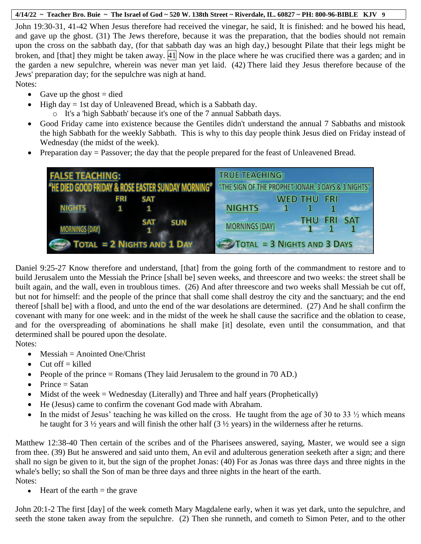John 19:30-31, 41-42 When Jesus therefore had received the vinegar, he said, It is finished: and he bowed his head, and gave up the ghost. (31) The Jews therefore, because it was the preparation, that the bodies should not remain upon the cross on the sabbath day, (for that sabbath day was an high day,) besought Pilate that their legs might be broken, and [that] they might be taken away.  $\overline{41}$  Now in the place where he was crucified there was a garden; and in the garden a new sepulchre, wherein was never man yet laid. (42) There laid they Jesus therefore because of the Jews' preparation day; for the sepulchre was nigh at hand.

- Notes:
	- Gave up the ghost  $=$  died
	- $\bullet$  High day = 1st day of Unleavened Bread, which is a Sabbath day.
		- o It's a 'high Sabbath' because it's one of the 7 annual Sabbath days.
	- Good Friday came into existence because the Gentiles didn't understand the annual 7 Sabbaths and mistook the high Sabbath for the weekly Sabbath. This is why to this day people think Jesus died on Friday instead of Wednesday (the midst of the week).
	- Preparation day  $=$  Passover; the day that the people prepared for the feast of Unleavened Bread.



Daniel 9:25-27 Know therefore and understand, [that] from the going forth of the commandment to restore and to build Jerusalem unto the Messiah the Prince [shall be] seven weeks, and threescore and two weeks: the street shall be built again, and the wall, even in troublous times. (26) And after threescore and two weeks shall Messiah be cut off, but not for himself: and the people of the prince that shall come shall destroy the city and the sanctuary; and the end thereof [shall be] with a flood, and unto the end of the war desolations are determined. (27) And he shall confirm the covenant with many for one week: and in the midst of the week he shall cause the sacrifice and the oblation to cease, and for the overspreading of abominations he shall make [it] desolate, even until the consummation, and that determined shall be poured upon the desolate.

Notes:

- $\bullet$  Messiah = Anointed One/Christ
- $\bullet$  Cut off = killed
- People of the prince  $=$  Romans (They laid Jerusalem to the ground in 70 AD.)
- $\bullet$  Prince = Satan
- $\bullet$  Midst of the week = Wednesday (Literally) and Three and half years (Prophetically)
- He (Jesus) came to confirm the covenant God made with Abraham.
- In the midst of Jesus' teaching he was killed on the cross. He taught from the age of 30 to 33  $\frac{1}{2}$  which means he taught for 3 ½ years and will finish the other half (3 ½ years) in the wilderness after he returns.

Matthew 12:38-40 Then certain of the scribes and of the Pharisees answered, saying, Master, we would see a sign from thee. (39) But he answered and said unto them, An evil and adulterous generation seeketh after a sign; and there shall no sign be given to it, but the sign of the prophet Jonas: (40) For as Jonas was three days and three nights in the whale's belly; so shall the Son of man be three days and three nights in the heart of the earth. Notes:

 $\bullet$  Heart of the earth = the grave

John 20:1-2 The first [day] of the week cometh Mary Magdalene early, when it was yet dark, unto the sepulchre, and seeth the stone taken away from the sepulchre. (2) Then she runneth, and cometh to Simon Peter, and to the other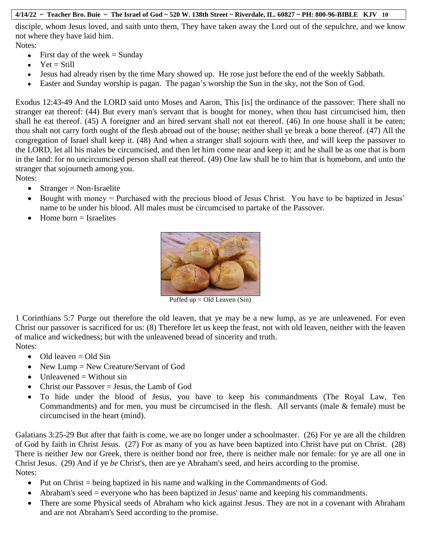disciple, whom Jesus loved, and saith unto them, They have taken away the Lord out of the sepulchre, and we know not where they have laid him.

Notes:

- First day of the week  $=$  Sunday
- $\bullet$  Yet = Still
- Jesus had already risen by the time Mary showed up. He rose just before the end of the weekly Sabbath.
- Easter and Sunday worship is pagan. The pagan's worship the Sun in the sky, not the Son of God.

Exodus 12:43-49 And the LORD said unto Moses and Aaron, This [is] the ordinance of the passover: There shall no stranger eat thereof: (44) But every man's servant that is bought for money, when thou hast circumcised him, then shall he eat thereof. (45) A foreigner and an hired servant shall not eat thereof. (46) In one house shall it be eaten; thou shalt not carry forth ought of the flesh abroad out of the house; neither shall ye break a bone thereof. (47) All the congregation of Israel shall keep it. (48) And when a stranger shall sojourn with thee, and will keep the passover to the LORD, let all his males be circumcised, and then let him come near and keep it; and he shall be as one that is born in the land: for no uncircumcised person shall eat thereof. (49) One law shall be to him that is homeborn, and unto the stranger that sojourneth among you.

Notes:

- $\bullet$  Stranger = Non-Israelite
- Bought with money = Purchased with the precious blood of Jesus Christ. You have to be baptized in Jesus' name to be under his blood. All males must be circumcised to partake of the Passover.
- $\bullet$  Home born = Israelites



Puffed up  $=$  Old Leaven (Sin)

1 Corinthians 5:7 Purge out therefore the old leaven, that ye may be a new lump, as ye are unleavened. For even Christ our passover is sacrificed for us: (8) Therefore let us keep the feast, not with old leaven, neither with the leaven of malice and wickedness; but with the unleavened bread of sincerity and truth. Notes:

- $\bullet$  Old leaven = Old Sin
- New Lump = New Creature/Servant of God
- $\bullet$  Unleavened  $=$  Without sin
- $\bullet$  Christ our Passover = Jesus, the Lamb of God
- To hide under the blood of Jesus, you have to keep his commandments (The Royal Law, Ten Commandments) and for men, you must be circumcised in the flesh. All servants (male & female) must be circumcised in the heart (mind).

Galatians 3:25-29 But after that faith is come, we are no longer under a schoolmaster. (26) For ye are all the children of God by faith in Christ Jesus. (27) For as many of you as have been baptized into Christ have put on Christ. (28) There is neither Jew nor Greek, there is neither bond nor free, there is neither male nor female: for ye are all one in Christ Jesus. (29) And if ye *be* Christ's, then are ye Abraham's seed, and heirs according to the promise. Notes:

- $\bullet$  Put on Christ = being baptized in his name and walking in the Commandments of God.
- $\bullet$  Abraham's seed = everyone who has been baptized in Jesus' name and keeping his commandments.
- There are some Physical seeds of Abraham who kick against Jesus. They are not in a covenant with Abraham and are not Abraham's Seed according to the promise.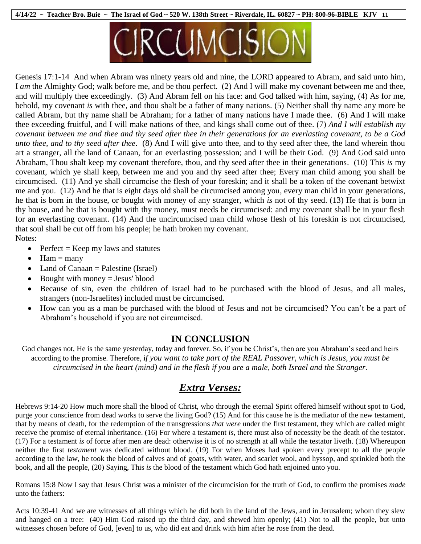

Genesis 17:1-14 And when Abram was ninety years old and nine, the LORD appeared to Abram, and said unto him, I *am* the Almighty God; walk before me, and be thou perfect. (2) And I will make my covenant between me and thee, and will multiply thee exceedingly. (3) And Abram fell on his face: and God talked with him, saying, (4) As for me, behold, my covenant *is* with thee, and thou shalt be a father of many nations. (5) Neither shall thy name any more be called Abram, but thy name shall be Abraham; for a father of many nations have I made thee. (6) And I will make thee exceeding fruitful, and I will make nations of thee, and kings shall come out of thee. (7) *And I will establish my covenant between me and thee and thy seed after thee in their generations for an everlasting covenant, to be a God unto thee, and to thy seed after thee*. (8) And I will give unto thee, and to thy seed after thee, the land wherein thou art a stranger, all the land of Canaan, for an everlasting possession; and I will be their God. (9) And God said unto Abraham, Thou shalt keep my covenant therefore, thou, and thy seed after thee in their generations. (10) This *is* my covenant, which ye shall keep, between me and you and thy seed after thee; Every man child among you shall be circumcised. (11) And ye shall circumcise the flesh of your foreskin; and it shall be a token of the covenant betwixt me and you. (12) And he that is eight days old shall be circumcised among you, every man child in your generations, he that is born in the house, or bought with money of any stranger, which *is* not of thy seed. (13) He that is born in thy house, and he that is bought with thy money, must needs be circumcised: and my covenant shall be in your flesh for an everlasting covenant. (14) And the uncircumcised man child whose flesh of his foreskin is not circumcised, that soul shall be cut off from his people; he hath broken my covenant. Notes:

- Perfect = Keep my laws and statutes
- $\bullet$  Ham = many
- Land of Canaan = Palestine (Israel)
- $\bullet$  Bought with money = Jesus' blood
- Because of sin, even the children of Israel had to be purchased with the blood of Jesus, and all males, strangers (non-Israelites) included must be circumcised.
- How can you as a man be purchased with the blood of Jesus and not be circumcised? You can't be a part of Abraham's household if you are not circumcised.

## **IN CONCLUSION**

God changes not, He is the same yesterday, today and forever. So, if you be Christ's, then are you Abraham's seed and heirs according to the promise. Therefore, i*f you want to take part of the REAL Passover, which is Jesus, you must be circumcised in the heart (mind) and in the flesh if you are a male, both Israel and the Stranger.* 

# *Extra Verses:*

Hebrews 9:14-20 How much more shall the blood of Christ, who through the eternal Spirit offered himself without spot to God, purge your conscience from dead works to serve the living God? (15) And for this cause he is the mediator of the new testament, that by means of death, for the redemption of the transgressions *that were* under the first testament, they which are called might receive the promise of eternal inheritance. (16) For where a testament *is,* there must also of necessity be the death of the testator. (17) For a testament *is* of force after men are dead: otherwise it is of no strength at all while the testator liveth. (18) Whereupon neither the first *testament* was dedicated without blood. (19) For when Moses had spoken every precept to all the people according to the law, he took the blood of calves and of goats, with water, and scarlet wool, and hyssop, and sprinkled both the book, and all the people, (20) Saying, This *is* the blood of the testament which God hath enjoined unto you.

Romans 15:8 Now I say that Jesus Christ was a minister of the circumcision for the truth of God, to confirm the promises *made* unto the fathers:

Acts 10:39-41 And we are witnesses of all things which he did both in the land of the Jews, and in Jerusalem; whom they slew and hanged on a tree: (40) Him God raised up the third day, and shewed him openly; (41) Not to all the people, but unto witnesses chosen before of God, [even] to us, who did eat and drink with him after he rose from the dead.